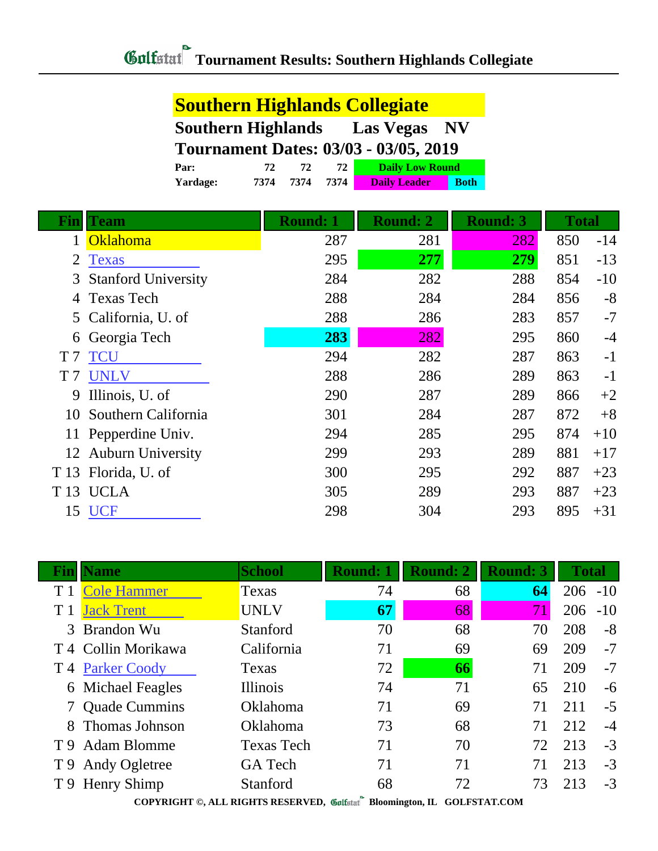|                | <b>Southern Highlands Collegiate</b> |                                                            |                 |      |                        |             |                 |              |       |
|----------------|--------------------------------------|------------------------------------------------------------|-----------------|------|------------------------|-------------|-----------------|--------------|-------|
|                |                                      | <b>Southern Highlands</b><br><b>Las Vegas</b><br><b>NV</b> |                 |      |                        |             |                 |              |       |
|                |                                      | <b>Tournament Dates: 03/03 - 03/05, 2019</b>               |                 |      |                        |             |                 |              |       |
|                | Par:                                 | 72                                                         | 72              | 72   | <b>Daily Low Round</b> |             |                 |              |       |
|                | Yardage:                             | 7374                                                       | 7374            | 7374 | <b>Daily Leader</b>    | <b>Both</b> |                 |              |       |
| Fin            | <b>Team</b>                          |                                                            | <b>Round: 1</b> |      | <b>Round: 2</b>        |             | <b>Round: 3</b> | <b>Total</b> |       |
| 1              | <b>Oklahoma</b>                      |                                                            |                 | 287  | 281                    |             | 282             | 850          | $-14$ |
| 2              | <b>Texas</b>                         |                                                            |                 | 295  | 277                    |             | 279             | 851          | $-13$ |
| 3              | <b>Stanford University</b>           |                                                            |                 | 284  | 282                    |             | 288             | 854          | $-10$ |
|                | <b>Texas Tech</b>                    |                                                            |                 | 288  | 284                    |             | 284             | 856          | $-8$  |
| 5              | California, U. of                    |                                                            |                 | 288  | 286                    |             | 283             | 857          | $-7$  |
| 6              | Georgia Tech                         |                                                            |                 | 283  | 282                    |             | 295             | 860          | $-4$  |
| T <sub>7</sub> | TCU                                  |                                                            |                 | 294  | 282                    |             | 287             | 863          | $-1$  |
| T <sub>7</sub> | <b>UNLV</b>                          |                                                            |                 | 288  | 286                    |             | 289             | 863          | $-1$  |
| 9              | Illinois, U. of                      |                                                            |                 | 290  | 287                    |             | 289             | 866          | $+2$  |
| 10             | Southern California                  |                                                            |                 | 301  | 284                    |             | 287             | 872          | $+8$  |
| 11             | Pepperdine Univ.                     |                                                            |                 | 294  | 285                    |             | 295             | 874          | $+10$ |
|                | 12 Auburn University                 |                                                            |                 | 299  | 293                    |             | 289             | 881          | $+17$ |
| T 13           | Florida, U. of                       |                                                            |                 | 300  | 295                    |             | 292             | 887          | $+23$ |
| T 13           | <b>UCLA</b>                          |                                                            |                 | 305  | 289                    |             | 293             | 887          | $+23$ |
|                | 15 UCF                               |                                                            |                 | 298  | 304                    |             | 293             | 895          | $+31$ |

|                                                                          | <b>Name</b>                    | <b>School</b>     | <b>Round: 1</b> | <b>Round: 2</b> | <b>Round: 3</b> | Total      |       |
|--------------------------------------------------------------------------|--------------------------------|-------------------|-----------------|-----------------|-----------------|------------|-------|
|                                                                          | <b>Cole Hammer</b>             | Texas             | 74              | 68              | 64              | $206 - 10$ |       |
|                                                                          | <b>Jack Trent</b>              | <b>UNLV</b>       | 67              | 68              | 71              | 206        | $-10$ |
|                                                                          | 3 Brandon Wu                   | Stanford          | 70              | 68              | 70              | 208        | $-8$  |
|                                                                          | T <sub>4</sub> Collin Morikawa | California        | 71              | 69              | 69              | 209        | $-7$  |
|                                                                          | T 4 Parker Coody               | Texas             | 72              | 66              | 71              | 209        | $-7$  |
|                                                                          | 6 Michael Feagles              | <b>Illinois</b>   | 74              | 71              | 65              | 210        | $-6$  |
|                                                                          | <b>Quade Cummins</b>           | Oklahoma          | 71              | 69              | 71              | 211        | $-5$  |
| 8                                                                        | Thomas Johnson                 | Oklahoma          | 73              | 68              | 71              | 212        | $-4$  |
|                                                                          | T 9 Adam Blomme                | <b>Texas Tech</b> | 71              | 70              | 72              | 213        | $-3$  |
|                                                                          | T 9 Andy Ogletree              | GA Tech           | 71              | 71              | 71              | 213        | $-3$  |
|                                                                          | T 9 Henry Shimp                | Stanford          | 68              | 72              | 73              | 213        | $-3$  |
| COPYRIGHT ©, ALL RIGHTS RESERVED, Collected Bloomington, IL GOLFSTAT.COM |                                |                   |                 |                 |                 |            |       |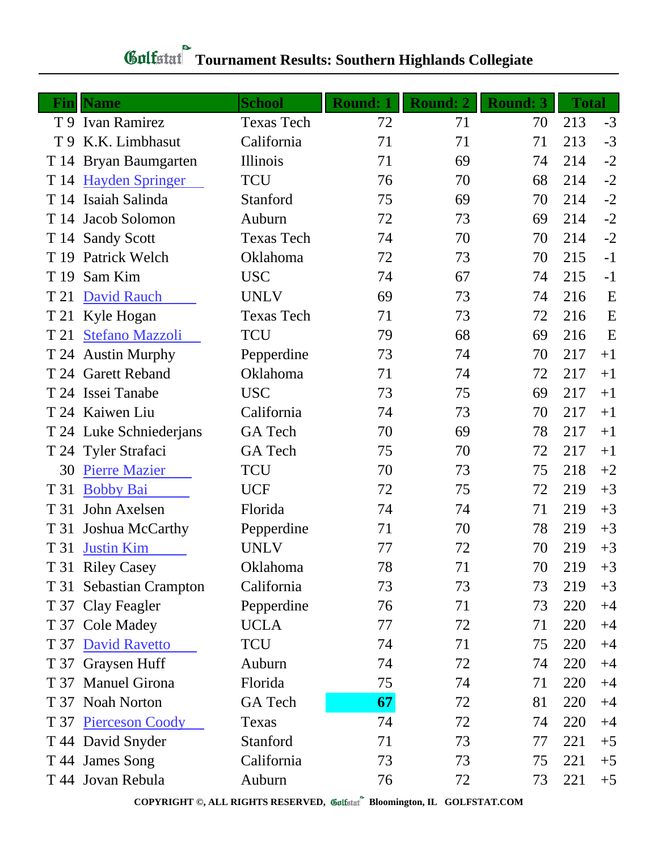| Fin  | <b>Name</b>             | <b>School</b>     | <b>Round: 1</b> | <b>Round: 2</b> | <b>Round: 3</b> | <b>Total</b> |      |
|------|-------------------------|-------------------|-----------------|-----------------|-----------------|--------------|------|
|      | T 9 Ivan Ramirez        | <b>Texas Tech</b> | 72              | 71              | 70              | 213          | $-3$ |
|      | T 9 K.K. Limbhasut      | California        | 71              | 71              | 71              | 213          | $-3$ |
|      | T 14 Bryan Baumgarten   | Illinois          | 71              | 69              | 74              | 214          | $-2$ |
|      | T 14 Hayden Springer    | <b>TCU</b>        | 76              | 70              | 68              | 214          | $-2$ |
|      | T 14 Isaiah Salinda     | Stanford          | 75              | 69              | 70              | 214          | $-2$ |
|      | T 14 Jacob Solomon      | Auburn            | 72              | 73              | 69              | 214          | $-2$ |
|      | T 14 Sandy Scott        | <b>Texas Tech</b> | 74              | 70              | 70              | 214          | $-2$ |
|      | T 19 Patrick Welch      | Oklahoma          | 72              | 73              | 70              | 215          | $-1$ |
| T 19 | Sam Kim                 | <b>USC</b>        | 74              | 67              | 74              | 215          | $-1$ |
| T 21 | David Rauch             | <b>UNLV</b>       | 69              | 73              | 74              | 216          | E    |
|      | T 21 Kyle Hogan         | <b>Texas Tech</b> | 71              | 73              | 72              | 216          | E    |
| T 21 | <b>Stefano Mazzoli</b>  | <b>TCU</b>        | 79              | 68              | 69              | 216          | E    |
|      | T 24 Austin Murphy      | Pepperdine        | 73              | 74              | 70              | 217          | $+1$ |
|      | T 24 Garett Reband      | Oklahoma          | 71              | 74              | 72              | 217          | $+1$ |
|      | T 24 Issei Tanabe       | <b>USC</b>        | 73              | 75              | 69              | 217          | $+1$ |
|      | T 24 Kaiwen Liu         | California        | 74              | 73              | 70              | 217          | $+1$ |
|      | T 24 Luke Schniederjans | GA Tech           | 70              | 69              | 78              | 217          | $+1$ |
|      | T 24 Tyler Strafaci     | GA Tech           | 75              | 70              | 72              | 217          | $+1$ |
| 30   | <b>Pierre Mazier</b>    | <b>TCU</b>        | 70              | 73              | 75              | 218          | $+2$ |
| T 31 | <b>Bobby Bai</b>        | <b>UCF</b>        | 72              | 75              | 72              | 219          | $+3$ |
| T 31 | John Axelsen            | Florida           | 74              | 74              | 71              | 219          | $+3$ |
| T 31 | Joshua McCarthy         | Pepperdine        | 71              | 70              | 78              | 219          | $+3$ |
| T 31 | <b>Justin Kim</b>       | <b>UNLV</b>       | 77              | 72              | 70              | 219          | $+3$ |
|      | T 31 Riley Casey        | Oklahoma          | 78              | 71              | 70              | 219          | $+3$ |
|      | T 31 Sebastian Crampton | California        | 73              | 73              | 73              | 219          | $+3$ |
| T 37 | Clay Feagler            | Pepperdine        | 76              | 71              | 73              | 220          | $+4$ |
|      | T 37 Cole Madey         | <b>UCLA</b>       | 77              | 72              | 71              | 220          | $+4$ |
|      | T 37 David Ravetto      | <b>TCU</b>        | 74              | 71              | 75              | 220          | $+4$ |
|      | T 37 Graysen Huff       | Auburn            | 74              | 72              | 74              | 220          | $+4$ |
| T 37 | <b>Manuel Girona</b>    | Florida           | 75              | 74              | 71              | 220          | $+4$ |
|      | T 37 Noah Norton        | GA Tech           | 67              | 72              | 81              | 220          | $+4$ |
|      | T 37 Pierceson Coody    | Texas             | 74              | 72              | 74              | 220          | $+4$ |
|      | T 44 David Snyder       | Stanford          | 71              | 73              | 77              | 221          | $+5$ |
|      | T 44 James Song         | California        | 73              | 73              | 75              | 221          | $+5$ |
|      | T 44 Jovan Rebula       | Auburn            | 76              | 72              | 73              | 221          | $+5$ |

## **Tournament Results: Southern Highlands Collegiate**

**COPYRIGHT ©, ALL RIGHTS RESERVED, Bloomington, IL GOLFSTAT.COM**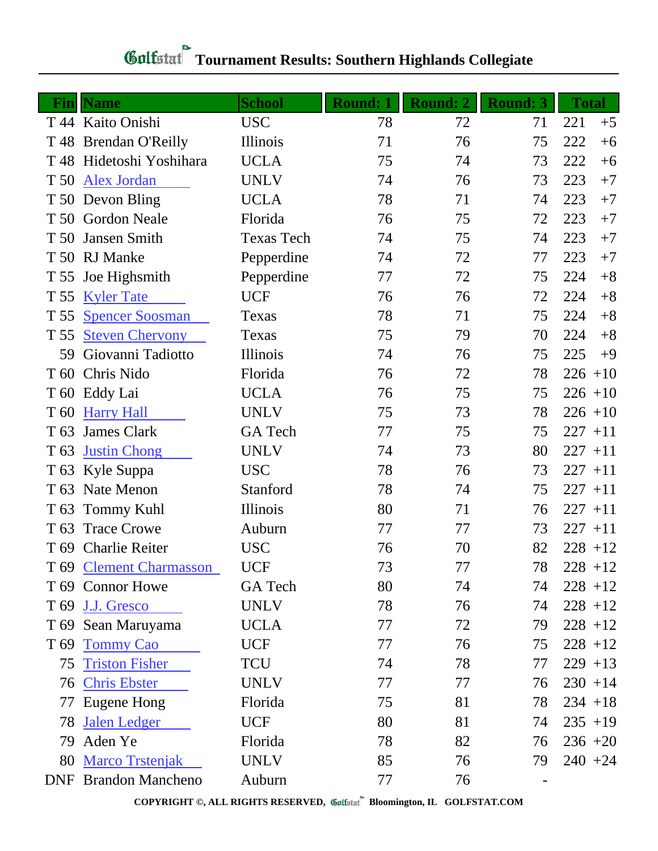| Fin             | <b>Name</b>                 | <b>School</b>     | <b>Round: 1</b> | <b>Round: 2</b> | <b>Round: 3</b> | <b>Total</b> |
|-----------------|-----------------------------|-------------------|-----------------|-----------------|-----------------|--------------|
|                 | T 44 Kaito Onishi           | <b>USC</b>        | 78              | 72              | 71              | 221<br>$+5$  |
|                 | T 48 Brendan O'Reilly       | Illinois          | 71              | 76              | 75              | 222<br>$+6$  |
|                 | T 48 Hidetoshi Yoshihara    | <b>UCLA</b>       | 75              | 74              | 73              | 222<br>$+6$  |
| T 50            | <b>Alex Jordan</b>          | <b>UNLV</b>       | 74              | 76              | 73              | 223<br>$+7$  |
|                 | T 50 Devon Bling            | <b>UCLA</b>       | 78              | 71              | 74              | 223<br>$+7$  |
|                 | T 50 Gordon Neale           | Florida           | 76              | 75              | 72              | 223<br>$+7$  |
| T 50            | Jansen Smith                | <b>Texas Tech</b> | 74              | 75              | 74              | 223<br>$+7$  |
|                 | T 50 RJ Manke               | Pepperdine        | 74              | 72              | 77              | 223<br>$+7$  |
| T 55            | Joe Highsmith               | Pepperdine        | 77              | 72              | 75              | $+8$<br>224  |
| T 55            | <b>Kyler Tate</b>           | <b>UCF</b>        | 76              | 76              | 72              | 224<br>$+8$  |
| T 55            | <b>Spencer Soosman</b>      | Texas             | 78              | 71              | 75              | $+8$<br>224  |
| T 55            | <b>Steven Chervony</b>      | Texas             | 75              | 79              | 70              | 224<br>$+8$  |
| 59              | Giovanni Tadiotto           | Illinois          | 74              | 76              | 75              | 225<br>$+9$  |
|                 | T 60 Chris Nido             | Florida           | 76              | 72              | 78              | $226 + 10$   |
| T 60            | Eddy Lai                    | <b>UCLA</b>       | 76              | 75              | 75              | $226 + 10$   |
| T <sub>60</sub> | <b>Harry Hall</b>           | <b>UNLV</b>       | 75              | 73              | 78              | $226 + 10$   |
| T <sub>63</sub> | <b>James Clark</b>          | GA Tech           | 77              | 75              | 75              | $227 + 11$   |
| T <sub>63</sub> | <b>Justin Chong</b>         | <b>UNLV</b>       | 74              | 73              | 80              | $227 + 11$   |
|                 | T 63 Kyle Suppa             | <b>USC</b>        | 78              | 76              | 73              | $227 + 11$   |
| T 63            | Nate Menon                  | Stanford          | 78              | 74              | 75              | $227 + 11$   |
| T <sub>63</sub> | <b>Tommy Kuhl</b>           | Illinois          | 80              | 71              | 76              | $227 + 11$   |
| T <sub>63</sub> | <b>Trace Crowe</b>          | Auburn            | 77              | 77              | 73              | $227 + 11$   |
|                 | T 69 Charlie Reiter         | <b>USC</b>        | 76              | 70              | 82              | $228 + 12$   |
|                 | T 69 Clement Charmasson     | <b>UCF</b>        | 73              | 77              | 78              | $228 + 12$   |
|                 | T 69 Connor Howe            | <b>GA</b> Tech    | 80              | 74              | 74              | $228 + 12$   |
| T <sub>69</sub> | J.J. Gresco                 | <b>UNLV</b>       | 78              | 76              | 74              | $228 + 12$   |
|                 | T 69 Sean Maruyama          | <b>UCLA</b>       | 77              | 72              | 79              | $228 + 12$   |
| T <sub>69</sub> | <b>Tommy Cao</b>            | <b>UCF</b>        | 77              | 76              | 75              | $228 + 12$   |
| 75              | <b>Triston Fisher</b>       | TCU               | 74              | 78              | 77              | $229 + 13$   |
|                 | 76 Chris Ebster             | <b>UNLV</b>       | 77              | 77              | 76              | $230 + 14$   |
| 77              | Eugene Hong                 | Florida           | 75              | 81              | 78              | $234 + 18$   |
| 78              | Jalen Ledger                | <b>UCF</b>        | 80              | 81              | 74              | $235 + 19$   |
| 79              | Aden Ye                     | Florida           | 78              | 82              | 76              | $236 + 20$   |
| 80              | <b>Marco Trstenjak</b>      | <b>UNLV</b>       | 85              | 76              | 79              | $240 + 24$   |
|                 | <b>DNF</b> Brandon Mancheno | Auburn            | 77              | 76              |                 |              |

## **Tournament Results: Southern Highlands Collegiate**